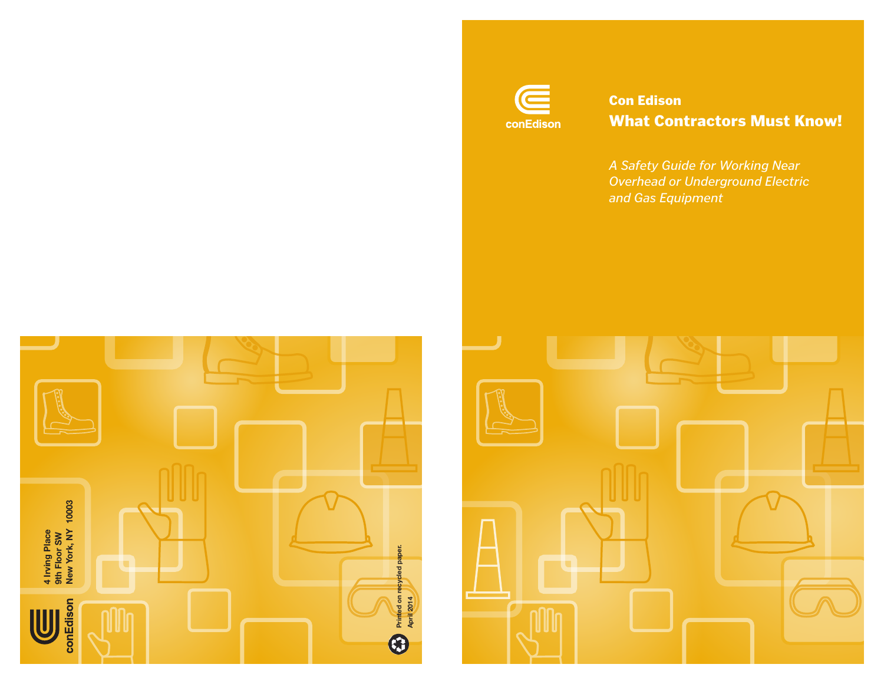

# Con Edison What Contractors Must Know!

*A Safety Guide for Working Near Overhead or Underground Electric and Gas Equipment*



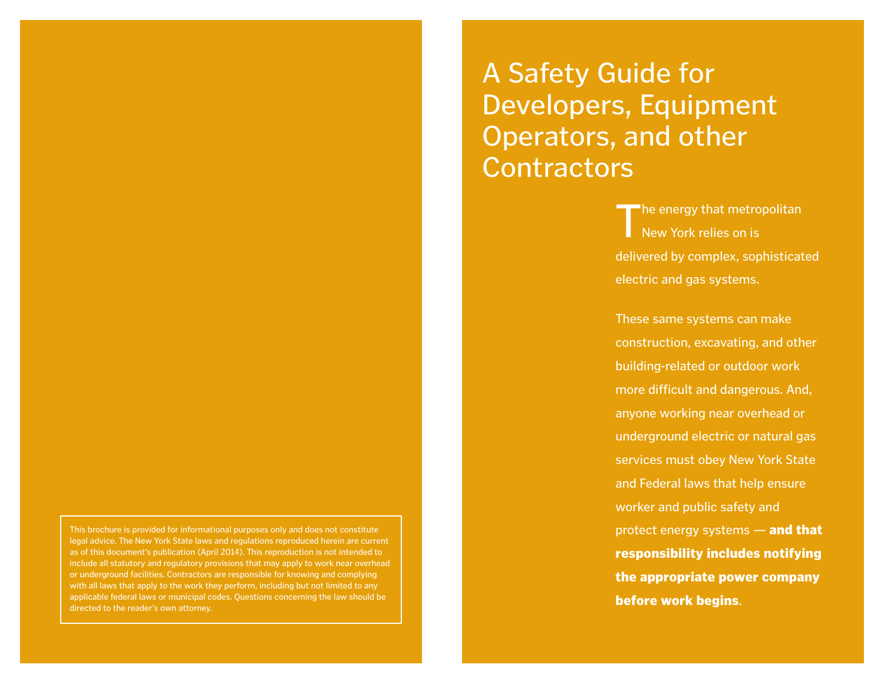This brochure is provided for informational purposes only and does not constitute legal advice. The New York State laws and regulations reproduced herein are current as of this document's publication (April 2014). This reproduction is not intended to include all statutory and regulatory provisions that may apply to work near overhead or underground facilities. Contractors are responsible for knowing and complying with all laws that apply to the work they perform, including but not limited to any applicable federal laws or municipal codes. Questions concerning the law should be directed to the reader's own attorney.

# A Safety Guide for Developers, Equipment Operators, and other **Contractors**

The energy that metropolitan New York relies on is delivered by complex, sophisticated electric and gas systems.

These same systems can make construction, excavating, and other building-related or outdoor work more difficult and dangerous. And, anyone working near overhead or underground electric or natural gas services must obey New York State and Federal laws that help ensure worker and public safety and protect energy systems - and that responsibility includes notifying the appropriate power company before work begins.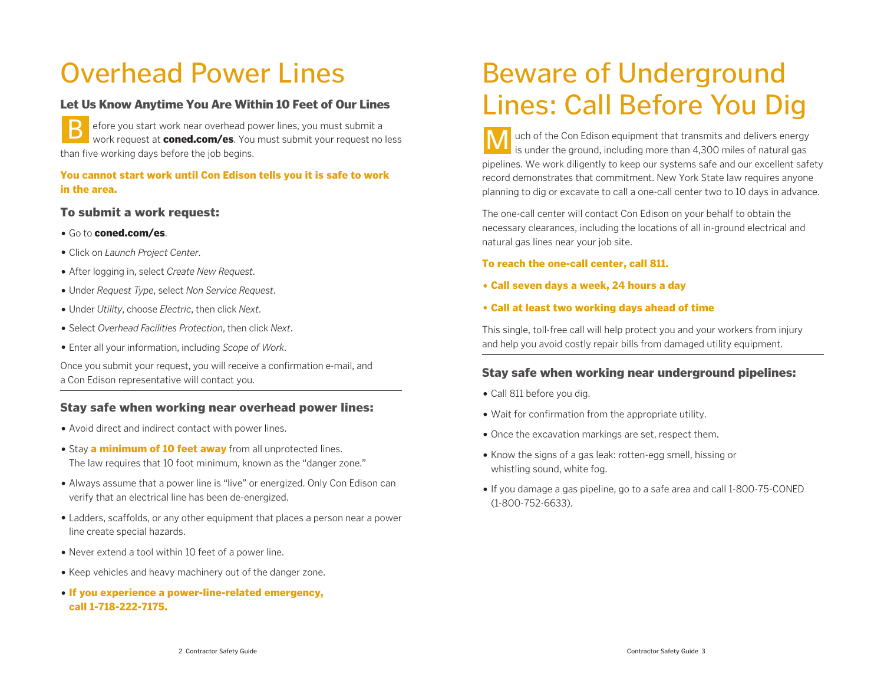# Overhead Power Lines

## Let Us Know Anytime You Are Within 10 Feet of Our Lines

efore you start work near overhead power lines, you must submit a work request at **coned.com/es**. You must submit your request no less than five working days before the job begins. B efore you start work near overhead power lines, you must submit a<br>work request at **coned.com/es**. You must submit your request no less

### You cannot start work until Con Edison tells you it is safe to work in the area.

### To submit a work request:

- Go to coned.com/es.
- Click on *Launch Project Center*.
- After logging in, select *Create New Request*.
- Under *Request Type*, select *Non Service Request*.
- Under *Utility*, choose *Electric*, then click *Next*.
- Select *Overhead Facilities Protection*, then click *Next*.
- Enter all your information, including *Scope of Work*.

Once you submit your request, you will receive a confirmation e-mail, and a Con Edison representative will contact you.

## Stay safe when working near overhead power lines:

- Avoid direct and indirect contact with power lines.
- Stay a minimum of 10 feet away from all unprotected lines. The law requires that 10 foot minimum, known as the "danger zone."
- Always assume that a power line is "live" or energized. Only Con Edison can verify that an electrical line has been de-energized.
- Ladders, scaffolds, or any other equipment that places a person near a power line create special hazards.
- Never extend a tool within 10 feet of a power line.
- Keep vehicles and heavy machinery out of the danger zone.
- If you experience a power-line-related emergency, call 1-718-222-7175.

# Beware of Underground Lines: Call Before You Dig

uch of the Con Edison equipment that transmits and delivers energy is under the ground, including more than 4,300 miles of natural gas pipelines. We work diligently to keep our systems safe and our excellent safety record demonstrates that commitment. New York State law requires anyone planning to dig or excavate to call a one-call center two to 10 days in advance.

The one-call center will contact Con Edison on your behalf to obtain the necessary clearances, including the locations of all in-ground electrical and natural gas lines near your job site.

To reach the one-call center, call 811.

- Call seven days a week, 24 hours a day
- Call at least two working days ahead of time

This single, toll-free call will help protect you and your workers from injury and help you avoid costly repair bills from damaged utility equipment.

## Stay safe when working near underground pipelines:

- Call 811 before you dig.
- Wait for confirmation from the appropriate utility.
- Once the excavation markings are set, respect them.
- Know the signs of a gas leak: rotten-egg smell, hissing or whistling sound, white fog.
- If you damage a gas pipeline, go to a safe area and call 1-800-75-CONED (1-800-752-6633).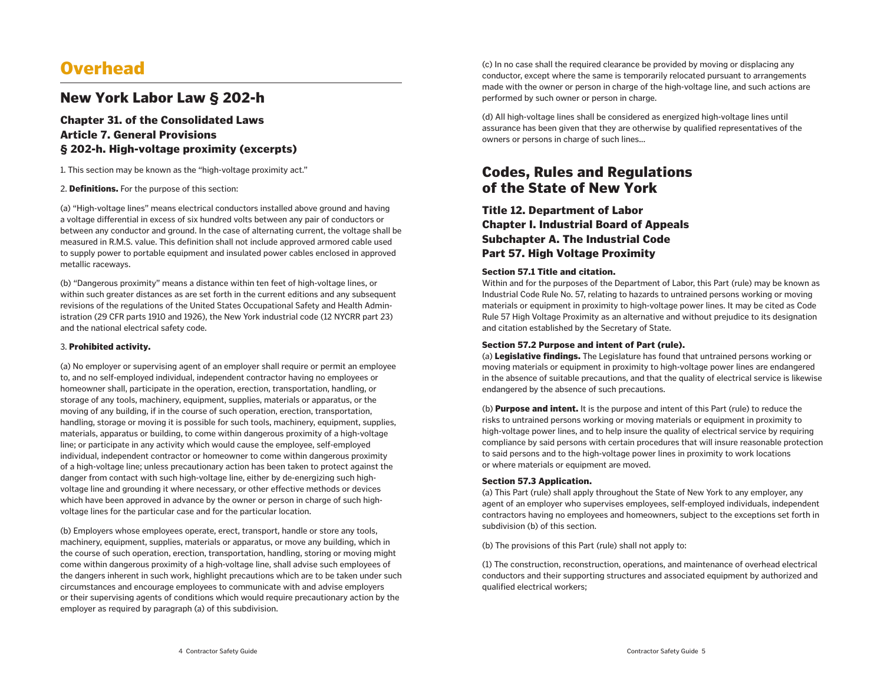# **Overhead**

## New York Labor Law § 202-h

### Chapter 31. of the Consolidated Laws Article 7. General Provisions § 202-h. High-voltage proximity (excerpts)

1. This section may be known as the "high-voltage proximity act."

2. Definitions. For the purpose of this section:

(a) "High-voltage lines" means electrical conductors installed above ground and having a voltage differential in excess of six hundred volts between any pair of conductors or between any conductor and ground. In the case of alternating current, the voltage shall be measured in R.M.S. value. This definition shall not include approved armored cable used to supply power to portable equipment and insulated power cables enclosed in approved metallic raceways.

(b) "Dangerous proximity" means a distance within ten feet of high-voltage lines, or within such greater distances as are set forth in the current editions and any subsequent revisions of the regulations of the United States Occupational Safety and Health Administration (29 CFR parts 1910 and 1926), the New York industrial code (12 NYCRR part 23) and the national electrical safety code.

#### 3. Prohibited activity.

(a) No employer or supervising agent of an employer shall require or permit an employee to, and no self-employed individual, independent contractor having no employees or homeowner shall, participate in the operation, erection, transportation, handling, or storage of any tools, machinery, equipment, supplies, materials or apparatus, or the moving of any building, if in the course of such operation, erection, transportation, handling, storage or moving it is possible for such tools, machinery, equipment, supplies, materials, apparatus or building, to come within dangerous proximity of a high-voltage line; or participate in any activity which would cause the employee, self-employed individual, independent contractor or homeowner to come within dangerous proximity of a high-voltage line; unless precautionary action has been taken to protect against the danger from contact with such high-voltage line, either by de-energizing such highvoltage line and grounding it where necessary, or other effective methods or devices which have been approved in advance by the owner or person in charge of such highvoltage lines for the particular case and for the particular location.

(b) Employers whose employees operate, erect, transport, handle or store any tools, machinery, equipment, supplies, materials or apparatus, or move any building, which in the course of such operation, erection, transportation, handling, storing or moving might come within dangerous proximity of a high-voltage line, shall advise such employees of the dangers inherent in such work, highlight precautions which are to be taken under such circumstances and encourage employees to communicate with and advise employers or their supervising agents of conditions which would require precautionary action by the employer as required by paragraph (a) of this subdivision.

(c) In no case shall the required clearance be provided by moving or displacing any conductor, except where the same is temporarily relocated pursuant to arrangements made with the owner or person in charge of the high-voltage line, and such actions are performed by such owner or person in charge.

(d) All high-voltage lines shall be considered as energized high-voltage lines until assurance has been given that they are otherwise by qualified representatives of the owners or persons in charge of such lines...

# Codes, Rules and Regulations of the State of New York

Title 12. Department of Labor Chapter I. Industrial Board of Appeals Subchapter A. The Industrial Code Part 57. High Voltage Proximity

#### Section 57.1 Title and citation.

Within and for the purposes of the Department of Labor, this Part (rule) may be known as Industrial Code Rule No. 57, relating to hazards to untrained persons working or moving materials or equipment in proximity to high-voltage power lines. It may be cited as Code Rule 57 High Voltage Proximity as an alternative and without prejudice to its designation and citation established by the Secretary of State.

#### Section 57.2 Purpose and intent of Part (rule).

(a) Legislative findings. The Legislature has found that untrained persons working or moving materials or equipment in proximity to high-voltage power lines are endangered in the absence of suitable precautions, and that the quality of electrical service is likewise endangered by the absence of such precautions.

(b) Purpose and intent. It is the purpose and intent of this Part (rule) to reduce the risks to untrained persons working or moving materials or equipment in proximity to high-voltage power lines, and to help insure the quality of electrical service by requiring compliance by said persons with certain procedures that will insure reasonable protection to said persons and to the high-voltage power lines in proximity to work locations or where materials or equipment are moved.

#### Section 57.3 Application.

(a) This Part (rule) shall apply throughout the State of New York to any employer, any agent of an employer who supervises employees, self-employed individuals, independent contractors having no employees and homeowners, subject to the exceptions set forth in subdivision (b) of this section.

(b) The provisions of this Part (rule) shall not apply to:

(1) The construction, reconstruction, operations, and maintenance of overhead electrical conductors and their supporting structures and associated equipment by authorized and qualified electrical workers;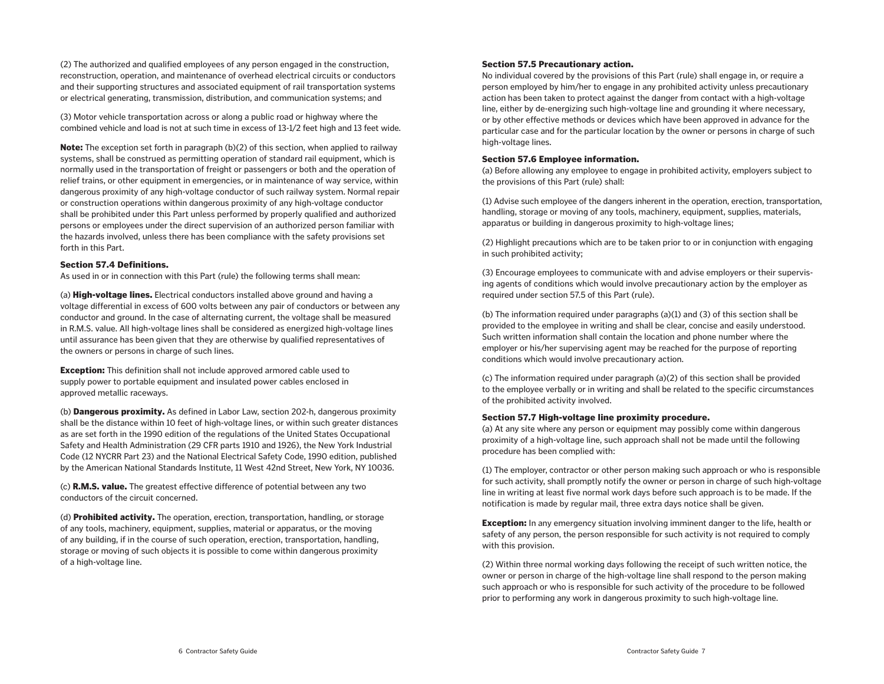(2) The authorized and qualified employees of any person engaged in the construction, reconstruction, operation, and maintenance of overhead electrical circuits or conductors and their supporting structures and associated equipment of rail transportation systems or electrical generating, transmission, distribution, and communication systems; and

(3) Motor vehicle transportation across or along a public road or highway where the combined vehicle and load is not at such time in excess of 13-1/2 feet high and 13 feet wide.

**Note:** The exception set forth in paragraph (b)(2) of this section, when applied to railway systems, shall be construed as permitting operation of standard rail equipment, which is normally used in the transportation of freight or passengers or both and the operation of relief trains, or other equipment in emergencies, or in maintenance of way service, within dangerous proximity of any high-voltage conductor of such railway system. Normal repair or construction operations within dangerous proximity of any high-voltage conductor shall be prohibited under this Part unless performed by properly qualified and authorized persons or employees under the direct supervision of an authorized person familiar with the hazards involved, unless there has been compliance with the safety provisions set forth in this Part.

#### Section 57.4 Definitions.

As used in or in connection with this Part (rule) the following terms shall mean:

(a) **High-voltage lines.** Electrical conductors installed above ground and having a voltage differential in excess of 600 volts between any pair of conductors or between any conductor and ground. In the case of alternating current, the voltage shall be measured in R.M.S. value. All high-voltage lines shall be considered as energized high-voltage lines until assurance has been given that they are otherwise by qualified representatives of the owners or persons in charge of such lines.

**Exception:** This definition shall not include approved armored cable used to supply power to portable equipment and insulated power cables enclosed in approved metallic raceways.

(b) Dangerous proximity. As defined in Labor Law, section 202-h, dangerous proximity shall be the distance within 10 feet of high-voltage lines, or within such greater distances as are set forth in the 1990 edition of the regulations of the United States Occupational Safety and Health Administration (29 CFR parts 1910 and 1926), the New York Industrial Code (12 NYCRR Part 23) and the National Electrical Safety Code, 1990 edition, published by the American National Standards Institute, 11 West 42nd Street, New York, NY 10036.

(c) R.M.S. value. The greatest effective difference of potential between any two conductors of the circuit concerned.

(d) **Prohibited activity.** The operation, erection, transportation, handling, or storage of any tools, machinery, equipment, supplies, material or apparatus, or the moving of any building, if in the course of such operation, erection, transportation, handling, storage or moving of such objects it is possible to come within dangerous proximity of a high-voltage line.

#### Section 57.5 Precautionary action.

No individual covered by the provisions of this Part (rule) shall engage in, or require a person employed by him/her to engage in any prohibited activity unless precautionary action has been taken to protect against the danger from contact with a high-voltage line, either by de-energizing such high-voltage line and grounding it where necessary, or by other effective methods or devices which have been approved in advance for the particular case and for the particular location by the owner or persons in charge of such high-voltage lines.

#### Section 57.6 Employee information.

(a) Before allowing any employee to engage in prohibited activity, employers subject to the provisions of this Part (rule) shall:

(1) Advise such employee of the dangers inherent in the operation, erection, transportation, handling, storage or moving of any tools, machinery, equipment, supplies, materials, apparatus or building in dangerous proximity to high-voltage lines;

(2) Highlight precautions which are to be taken prior to or in conjunction with engaging in such prohibited activity;

(3) Encourage employees to communicate with and advise employers or their supervising agents of conditions which would involve precautionary action by the employer as required under section 57.5 of this Part (rule).

(b) The information required under paragraphs  $(a)(1)$  and  $(3)$  of this section shall be provided to the employee in writing and shall be clear, concise and easily understood. Such written information shall contain the location and phone number where the employer or his/her supervising agent may be reached for the purpose of reporting conditions which would involve precautionary action.

(c) The information required under paragraph (a)(2) of this section shall be provided to the employee verbally or in writing and shall be related to the specific circumstances of the prohibited activity involved.

#### Section 57.7 High-voltage line proximity procedure.

(a) At any site where any person or equipment may possibly come within dangerous proximity of a high-voltage line, such approach shall not be made until the following procedure has been complied with:

(1) The employer, contractor or other person making such approach or who is responsible for such activity, shall promptly notify the owner or person in charge of such high-voltage line in writing at least five normal work days before such approach is to be made. If the notification is made by regular mail, three extra days notice shall be given.

**Exception:** In any emergency situation involving imminent danger to the life, health or safety of any person, the person responsible for such activity is not required to comply with this provision.

(2) Within three normal working days following the receipt of such written notice, the owner or person in charge of the high-voltage line shall respond to the person making such approach or who is responsible for such activity of the procedure to be followed prior to performing any work in dangerous proximity to such high-voltage line.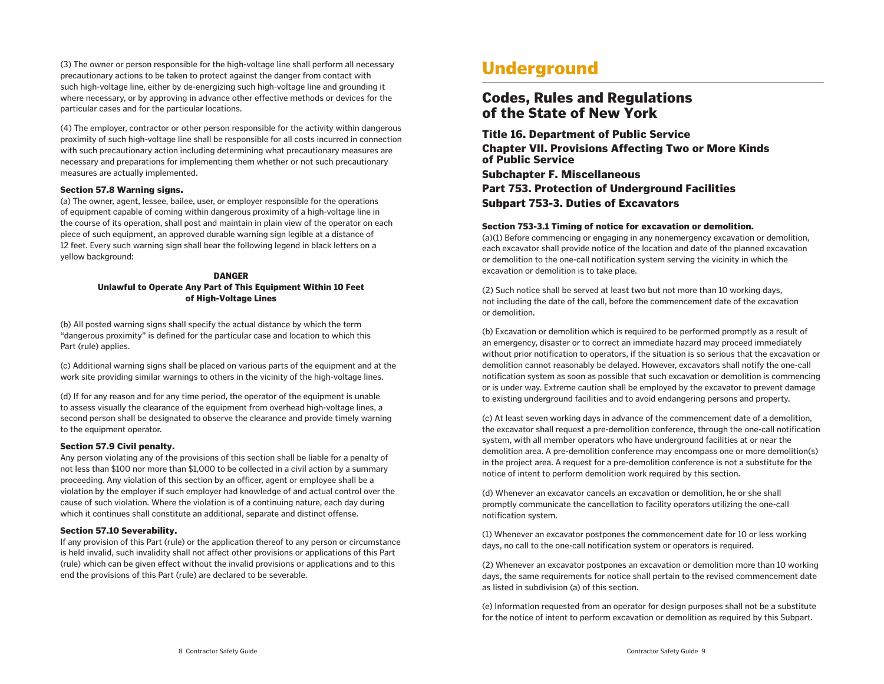(3) The owner or person responsible for the high-voltage line shall perform all necessary precautionary actions to be taken to protect against the danger from contact with such high-voltage line, either by de-energizing such high-voltage line and grounding it where necessary, or by approving in advance other effective methods or devices for the particular cases and for the particular locations.

(4) The employer, contractor or other person responsible for the activity within dangerous proximity of such high-voltage line shall be responsible for all costs incurred in connection with such precautionary action including determining what precautionary measures are necessary and preparations for implementing them whether or not such precautionary measures are actually implemented.

#### Section 57.8 Warning signs.

(a) The owner, agent, lessee, bailee, user, or employer responsible for the operations of equipment capable of coming within dangerous proximity of a high-voltage line in the course of its operation, shall post and maintain in plain view of the operator on each piece of such equipment, an approved durable warning sign legible at a distance of 12 feet. Every such warning sign shall bear the following legend in black letters on a yellow background:

#### DANGER

#### Unlawful to Operate Any Part of This Equipment Within 10 Feet of High-Voltage Lines

(b) All posted warning signs shall specify the actual distance by which the term "dangerous proximity" is defined for the particular case and location to which this Part (rule) applies.

(c) Additional warning signs shall be placed on various parts of the equipment and at the work site providing similar warnings to others in the vicinity of the high-voltage lines.

(d) If for any reason and for any time period, the operator of the equipment is unable to assess visually the clearance of the equipment from overhead high-voltage lines, a second person shall be designated to observe the clearance and provide timely warning to the equipment operator.

#### Section 57.9 Civil penalty.

Any person violating any of the provisions of this section shall be liable for a penalty of not less than \$100 nor more than \$1,000 to be collected in a civil action by a summary proceeding. Any violation of this section by an officer, agent or employee shall be a violation by the employer if such employer had knowledge of and actual control over the cause of such violation. Where the violation is of a continuing nature, each day during which it continues shall constitute an additional, separate and distinct offense.

#### Section 57.10 Severability.

If any provision of this Part (rule) or the application thereof to any person or circumstance is held invalid, such invalidity shall not affect other provisions or applications of this Part (rule) which can be given effect without the invalid provisions or applications and to this end the provisions of this Part (rule) are declared to be severable.

# **Underground**

## Codes, Rules and Regulations of the State of New York

Title 16. Department of Public Service Chapter VII. Provisions Affecting Two or More Kinds of Public Service Subchapter F. Miscellaneous Part 753. Protection of Underground Facilities Subpart 753-3. Duties of Excavators

#### Section 753-3.1 Timing of notice for excavation or demolition.

(a)(1) Before commencing or engaging in any nonemergency excavation or demolition, each excavator shall provide notice of the location and date of the planned excavation or demolition to the one-call notification system serving the vicinity in which the excavation or demolition is to take place.

(2) Such notice shall be served at least two but not more than 10 working days, not including the date of the call, before the commencement date of the excavation or demolition.

(b) Excavation or demolition which is required to be performed promptly as a result of an emergency, disaster or to correct an immediate hazard may proceed immediately without prior notification to operators, if the situation is so serious that the excavation or demolition cannot reasonably be delayed. However, excavators shall notify the one-call notification system as soon as possible that such excavation or demolition is commencing or is under way. Extreme caution shall be employed by the excavator to prevent damage to existing underground facilities and to avoid endangering persons and property.

(c) At least seven working days in advance of the commencement date of a demolition, the excavator shall request a pre-demolition conference, through the one-call notification system, with all member operators who have underground facilities at or near the demolition area. A pre-demolition conference may encompass one or more demolition(s) in the project area. A request for a pre-demolition conference is not a substitute for the notice of intent to perform demolition work required by this section.

(d) Whenever an excavator cancels an excavation or demolition, he or she shall promptly communicate the cancellation to facility operators utilizing the one-call notification system.

(1) Whenever an excavator postpones the commencement date for 10 or less working days, no call to the one-call notification system or operators is required.

(2) Whenever an excavator postpones an excavation or demolition more than 10 working days, the same requirements for notice shall pertain to the revised commencement date as listed in subdivision (a) of this section.

(e) Information requested from an operator for design purposes shall not be a substitute for the notice of intent to perform excavation or demolition as required by this Subpart.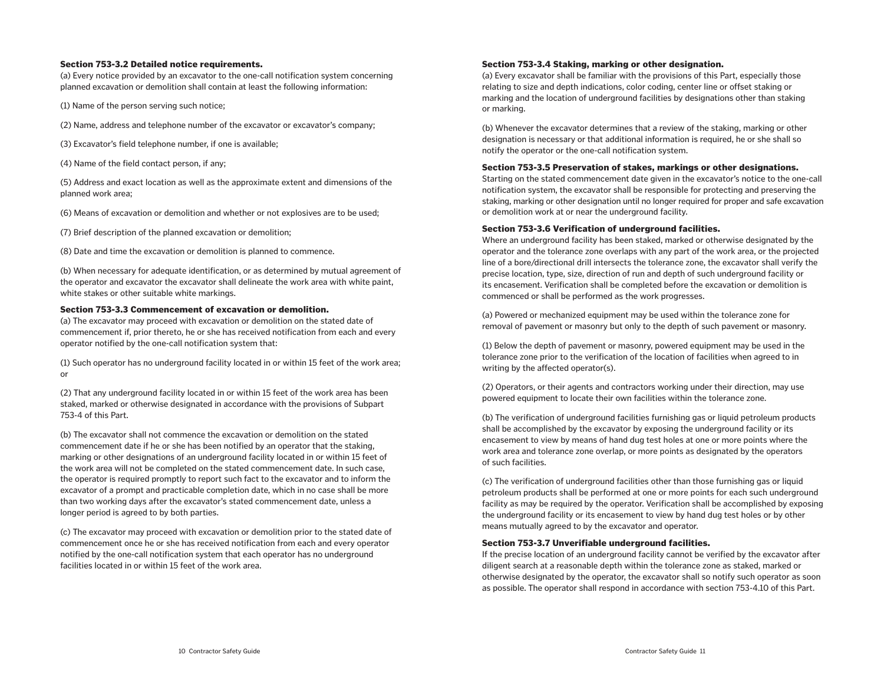#### Section 753-3.2 Detailed notice requirements.

(a) Every notice provided by an excavator to the one-call notification system concerning planned excavation or demolition shall contain at least the following information:

(1) Name of the person serving such notice;

- (2) Name, address and telephone number of the excavator or excavator's company;
- (3) Excavator's field telephone number, if one is available;

(4) Name of the field contact person, if any;

(5) Address and exact location as well as the approximate extent and dimensions of the planned work area;

(6) Means of excavation or demolition and whether or not explosives are to be used;

(7) Brief description of the planned excavation or demolition;

(8) Date and time the excavation or demolition is planned to commence.

(b) When necessary for adequate identification, or as determined by mutual agreement of the operator and excavator the excavator shall delineate the work area with white paint, white stakes or other suitable white markings.

#### Section 753-3.3 Commencement of excavation or demolition.

(a) The excavator may proceed with excavation or demolition on the stated date of commencement if, prior thereto, he or she has received notification from each and every operator notified by the one-call notification system that:

(1) Such operator has no underground facility located in or within 15 feet of the work area; or

(2) That any underground facility located in or within 15 feet of the work area has been staked, marked or otherwise designated in accordance with the provisions of Subpart 753-4 of this Part.

(b) The excavator shall not commence the excavation or demolition on the stated commencement date if he or she has been notified by an operator that the staking, marking or other designations of an underground facility located in or within 15 feet of the work area will not be completed on the stated commencement date. In such case, the operator is required promptly to report such fact to the excavator and to inform the excavator of a prompt and practicable completion date, which in no case shall be more than two working days after the excavator's stated commencement date, unless a longer period is agreed to by both parties.

(c) The excavator may proceed with excavation or demolition prior to the stated date of commencement once he or she has received notification from each and every operator notified by the one-call notification system that each operator has no underground facilities located in or within 15 feet of the work area.

#### Section 753-3.4 Staking, marking or other designation.

(a) Every excavator shall be familiar with the provisions of this Part, especially those relating to size and depth indications, color coding, center line or offset staking or marking and the location of underground facilities by designations other than staking or marking.

(b) Whenever the excavator determines that a review of the staking, marking or other designation is necessary or that additional information is required, he or she shall so notify the operator or the one-call notification system.

#### Section 753-3.5 Preservation of stakes, markings or other designations.

Starting on the stated commencement date given in the excavator's notice to the one-call notification system, the excavator shall be responsible for protecting and preserving the staking, marking or other designation until no longer required for proper and safe excavation or demolition work at or near the underground facility.

#### Section 753-3.6 Verification of underground facilities.

Where an underground facility has been staked, marked or otherwise designated by the operator and the tolerance zone overlaps with any part of the work area, or the projected line of a bore/directional drill intersects the tolerance zone, the excavator shall verify the precise location, type, size, direction of run and depth of such underground facility or its encasement. Verification shall be completed before the excavation or demolition is commenced or shall be performed as the work progresses.

(a) Powered or mechanized equipment may be used within the tolerance zone for removal of pavement or masonry but only to the depth of such pavement or masonry.

(1) Below the depth of pavement or masonry, powered equipment may be used in the tolerance zone prior to the verification of the location of facilities when agreed to in writing by the affected operator(s).

(2) Operators, or their agents and contractors working under their direction, may use powered equipment to locate their own facilities within the tolerance zone.

(b) The verification of underground facilities furnishing gas or liquid petroleum products shall be accomplished by the excavator by exposing the underground facility or its encasement to view by means of hand dug test holes at one or more points where the work area and tolerance zone overlap, or more points as designated by the operators of such facilities.

(c) The verification of underground facilities other than those furnishing gas or liquid petroleum products shall be performed at one or more points for each such underground facility as may be required by the operator. Verification shall be accomplished by exposing the underground facility or its encasement to view by hand dug test holes or by other means mutually agreed to by the excavator and operator.

#### Section 753-3.7 Unverifiable underground facilities.

If the precise location of an underground facility cannot be verified by the excavator after diligent search at a reasonable depth within the tolerance zone as staked, marked or otherwise designated by the operator, the excavator shall so notify such operator as soon as possible. The operator shall respond in accordance with section 753-4.10 of this Part.